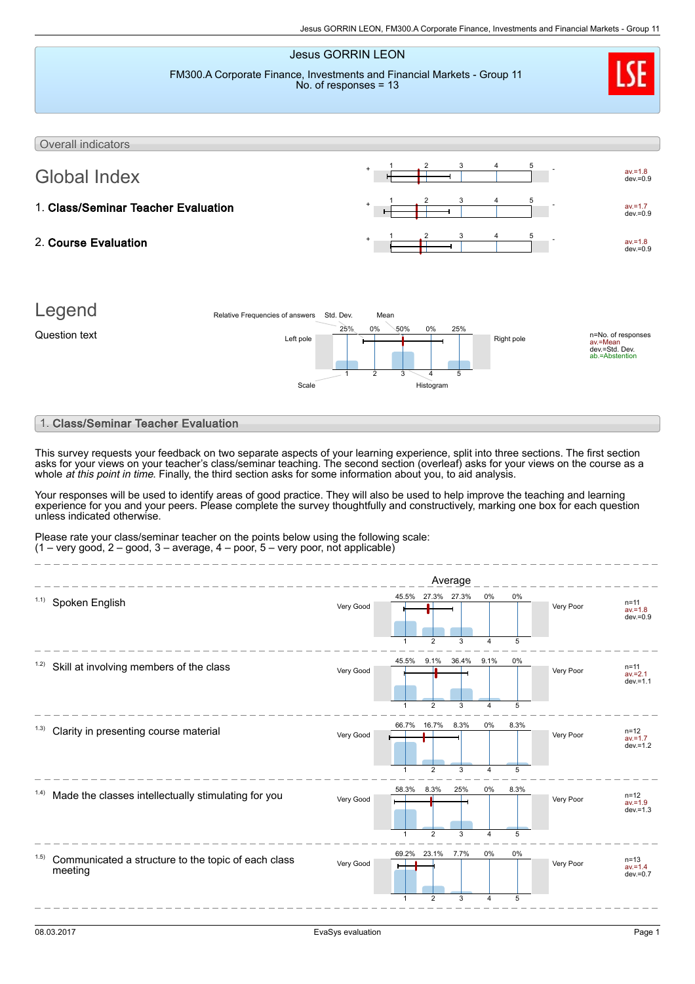### Jesus GORRIN LEON FM300.A Corporate Finance, Investments and Financial Markets - Group 11 No. of responses = 13 Overall indicators Global Index  $av = 1.8$ <br>dev. = 0.9 1 2 3 4 5 1. Class/Seminar Teacher Evaluation  $av.=1.7$ <br>dev.=0.9 1 2 3 4 5 2. Course Evaluation  $av.=1.8$ <br>dev.=0.9 1 2 3 4 5 Legend Question text and the contract contract contract the contract of the contract of responses the new pole of responses av.=Mean dev.=Std. Dev. ab.=Abstention  $250$ 1 0% 2 50% 3 0% 4 25% 5 Relative Frequencies of answers Std. Dev. Mean Scale Histogram

## 1. Class/Seminar Teacher Evaluation

This survey requests your feedback on two separate aspects of your learning experience, split into three sections. The first section asks for your views on your teacher's class/seminar teaching. The second section (overleaf) asks for your views on the course as a whole *at this point in time*. Finally, the third section asks for some information about you, to aid analysis.

Your responses will be used to identify areas of good practice. They will also be used to help improve the teaching and learning experience for you and your peers. Please complete the survey thoughtfully and constructively, marking one box for each question unless indicated otherwise.

Please rate your class/seminar teacher on the points below using the following scale:  $(1 - \text{very good}, 2 - \text{good}, 3 - \text{average}, 4 - \text{poor}, 5 - \text{very poor}, \text{not applicable})$ 

|                                                                         |           |              |                        | Average     |                |         |           |                                       |
|-------------------------------------------------------------------------|-----------|--------------|------------------------|-------------|----------------|---------|-----------|---------------------------------------|
| Spoken English                                                          | Very Good | 45.5%        |                        | 27.3% 27.3% | 0%             | $0\%$   | Very Poor | $n = 11$<br>$av = 1.8$<br>$dev = 0.9$ |
| 1.2)                                                                    |           | 45.5%        | $\overline{2}$<br>9.1% | 3<br>36.4%  | 4<br>9.1%      | 5<br>0% |           |                                       |
| Skill at involving members of the class                                 | Very Good | 1            | $\overline{2}$         | 3           | 4              | 5       | Very Poor | $n = 11$<br>$av = 2.1$<br>$dev = 1.1$ |
| (1.3)<br>Clarity in presenting course material                          | Very Good | 66.7%        | 16.7%                  | 8.3%        | 0%             | 8.3%    | Very Poor | $n = 12$<br>$av = 1.7$<br>$dev = 1.2$ |
|                                                                         |           | $\mathbf{1}$ | 2                      | 3           | 4              | 5       |           |                                       |
| (1.4)<br>Made the classes intellectually stimulating for you            | Very Good | 58.3%        | 8.3%                   | 25%         | 0%             | 8.3%    | Very Poor | $n = 12$<br>$av = 1.9$<br>$dev = 1.3$ |
|                                                                         |           | $\mathbf{1}$ | $\overline{2}$         | 3           | $\overline{4}$ | 5       |           |                                       |
| (1.5)<br>Communicated a structure to the topic of each class<br>meeting | Very Good | 69.2%        | 23.1%                  | 7.7%        | 0%             | 0%      | Very Poor | $n=13$<br>$av = 1.4$<br>$dev = 0.7$   |
|                                                                         |           | 1            | $\overline{2}$         | 3           | $\overline{4}$ | 5       |           |                                       |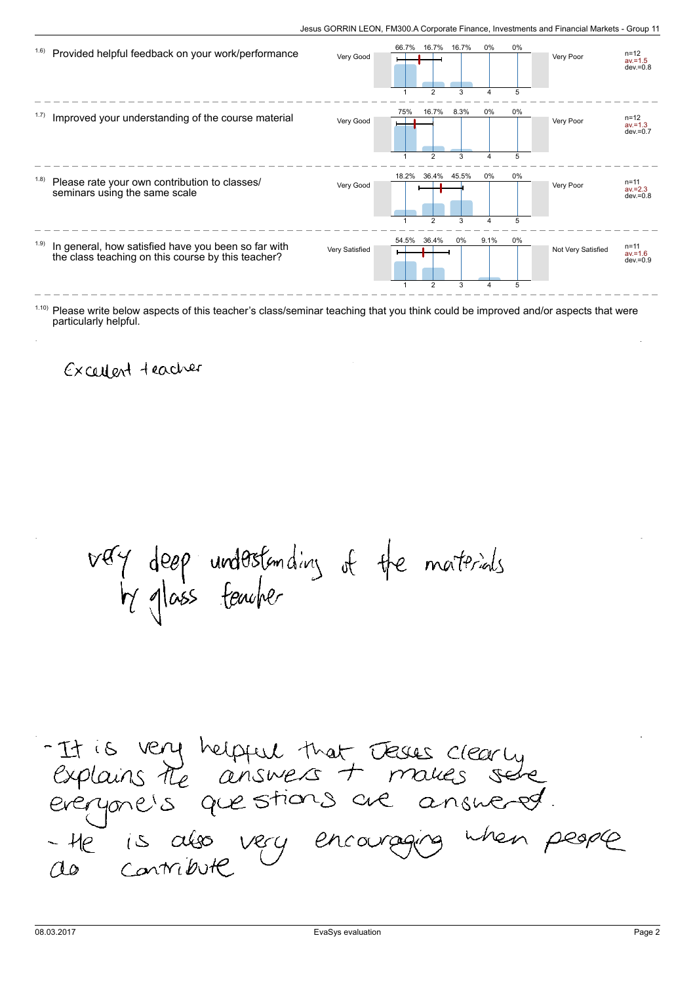| 1.6)  | Provided helpful feedback on your work/performance                                                        | Very Good      | 16.7%<br>16.7%<br>66.7%<br>$\overline{2}$<br>3 | $0\%$<br>0%<br>5<br>4 | Very Poor          | $n = 12$<br>$av = 1.5$<br>$dev = 0.8$ |
|-------|-----------------------------------------------------------------------------------------------------------|----------------|------------------------------------------------|-----------------------|--------------------|---------------------------------------|
| 1.7)  | Improved your understanding of the course material                                                        | Very Good      | 75%<br>16.7%<br>8.3%<br>$\overline{2}$<br>3    | $0\%$<br>0%<br>5<br>4 | Very Poor          | $n = 12$<br>$av = 1.3$<br>$dev = 0.7$ |
| (1.8) | Please rate your own contribution to classes/<br>seminars using the same scale                            | Very Good      | 36.4% 45.5%<br>18.2%<br>$\mathcal{P}$<br>3     | 0%<br>0%<br>5<br>4    | Very Poor          | $n = 11$<br>$av = 2.3$<br>$dev = 0.8$ |
| 1.9)  | In general, how satisfied have you been so far with<br>the class teaching on this course by this teacher? | Very Satisfied | 54.5%<br>36.4%<br>0%<br>$\mathcal{P}$<br>3     | 9.1%<br>0%<br>5<br>Δ  | Not Very Satisfied | $n = 11$<br>$av = 1.6$<br>$dev = 0.9$ |

 $1.10$ ) Please write below aspects of this teacher's class/seminar teaching that you think could be improved and/or aspects that were particularly helpful.

Excellent teacher

very deep understanding of the materials<br>by glass feacher

- It is very helpful that Jesus clearly<br>explains the answers + makes sere<br>everyone's que stions are answered.<br>- He is also very encouraging when people<br>as contribute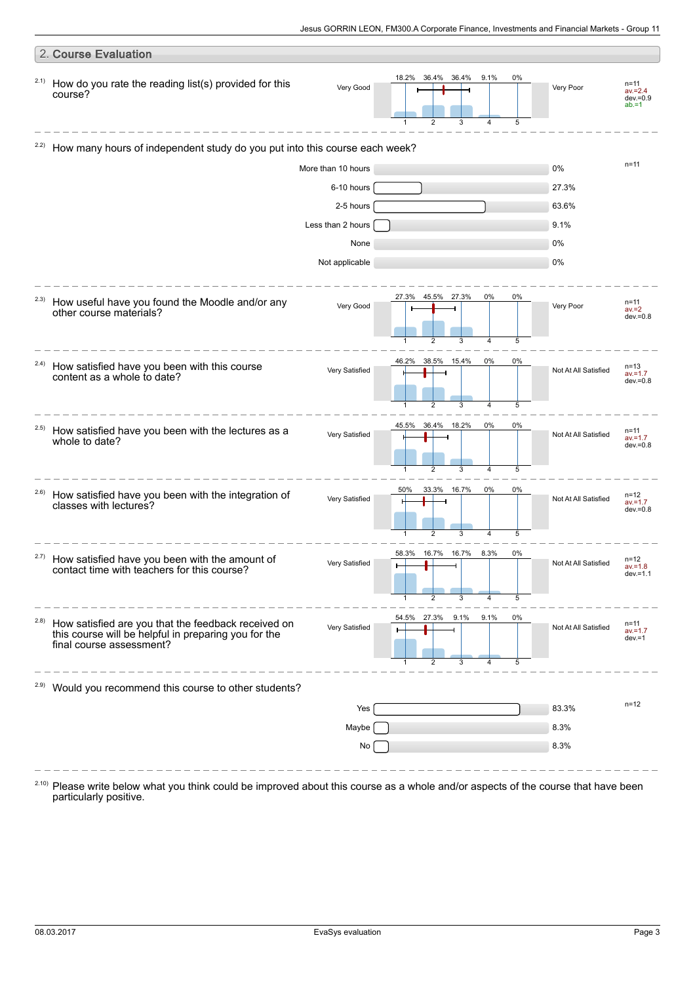|       | 2. Course Evaluation                                                                                                                    |                    |                                                                            |         |                      |                                               |
|-------|-----------------------------------------------------------------------------------------------------------------------------------------|--------------------|----------------------------------------------------------------------------|---------|----------------------|-----------------------------------------------|
| 2.1)  | How do you rate the reading list(s) provided for this<br>course?                                                                        | Very Good          | 18.2%<br>36.4%<br>9.1%<br>36.4%<br>2<br>3<br>4                             | 0%<br>5 | Very Poor            | n=11<br>$av = 2.4$<br>$dev = 0.9$<br>$ab = 1$ |
| 2.2)  | How many hours of independent study do you put into this course each week?                                                              |                    |                                                                            |         |                      |                                               |
|       |                                                                                                                                         | More than 10 hours |                                                                            |         | 0%                   | $n = 11$                                      |
|       |                                                                                                                                         | 6-10 hours         |                                                                            |         | 27.3%                |                                               |
|       |                                                                                                                                         | 2-5 hours          |                                                                            |         | 63.6%                |                                               |
|       |                                                                                                                                         | Less than 2 hours  |                                                                            |         | 9.1%                 |                                               |
|       |                                                                                                                                         | None               |                                                                            |         | 0%                   |                                               |
|       |                                                                                                                                         | Not applicable     |                                                                            |         | 0%                   |                                               |
| 2.3)  | How useful have you found the Moodle and/or any<br>other course materials?                                                              | Very Good          | 27.3%<br>45.5% 27.3%<br>0%<br>$\overline{2}$<br>3<br>$\overline{4}$        | 0%<br>5 | Very Poor            | $n = 11$<br>$av = 2$<br>$dev = 0.8$           |
| 2.4)  | How satisfied have you been with this course<br>content as a whole to date?                                                             | Very Satisfied     | 0%<br>46.2%<br>38.5% 15.4%<br>$\overline{2}$<br>3<br>4                     | 0%<br>5 | Not At All Satisfied | $n = 13$<br>$av = 1.7$<br>$dev = 0.8$         |
| 2.5)  | How satisfied have you been with the lectures as a<br>whole to date?                                                                    | Very Satisfied     | 45.5%<br>36.4% 18.2%<br>0%<br>2<br>3<br>4                                  | 0%<br>5 | Not At All Satisfied | $n = 11$<br>$av = 1.7$<br>$dev = 0.8$         |
| 2.6)  | How satisfied have you been with the integration of<br>classes with lectures?                                                           | Very Satisfied     | 50%<br>0%<br>33.3% 16.7%<br>3<br>4                                         | 0%<br>5 | Not At All Satisfied | $n = 12$<br>$av = 1.7$<br>$dev = 0.8$         |
| 2.7)  | How satisfied have you been with the amount of<br>contact time with teachers for this course?                                           | Very Satisfied     | 16.7% 16.7%<br>58.3%<br>8.3%<br>2<br>3<br>1<br>4                           | 0%<br>5 | Not At All Satisfied | $n = 12$<br>$av = 1.8$<br>$dev = 1.1$         |
| (2.8) | How satisfied are you that the feedback received on<br>this course will be helpful in preparing you for the<br>final course assessment? | Very Satisfied     | 54.5%<br>27.3%<br>9.1%<br>9.1%<br>$\overline{2}$<br>3<br>$\mathbf{1}$<br>4 | 0%<br>5 | Not At All Satisfied | $n = 11$<br>$av = 1.7$<br>$dev = 1$           |
| 2.9)  | Would you recommend this course to other students?                                                                                      |                    |                                                                            |         |                      |                                               |
|       |                                                                                                                                         | Yes                |                                                                            |         | 83.3%                | $n = 12$                                      |
|       |                                                                                                                                         | Maybe              |                                                                            |         | 8.3%                 |                                               |
|       |                                                                                                                                         | No <sub>1</sub>    |                                                                            |         | 8.3%                 |                                               |
|       |                                                                                                                                         |                    |                                                                            |         |                      |                                               |

Please write below what you think could be improved about this course as a whole and/or aspects of the course that have been particularly positive. 2.10)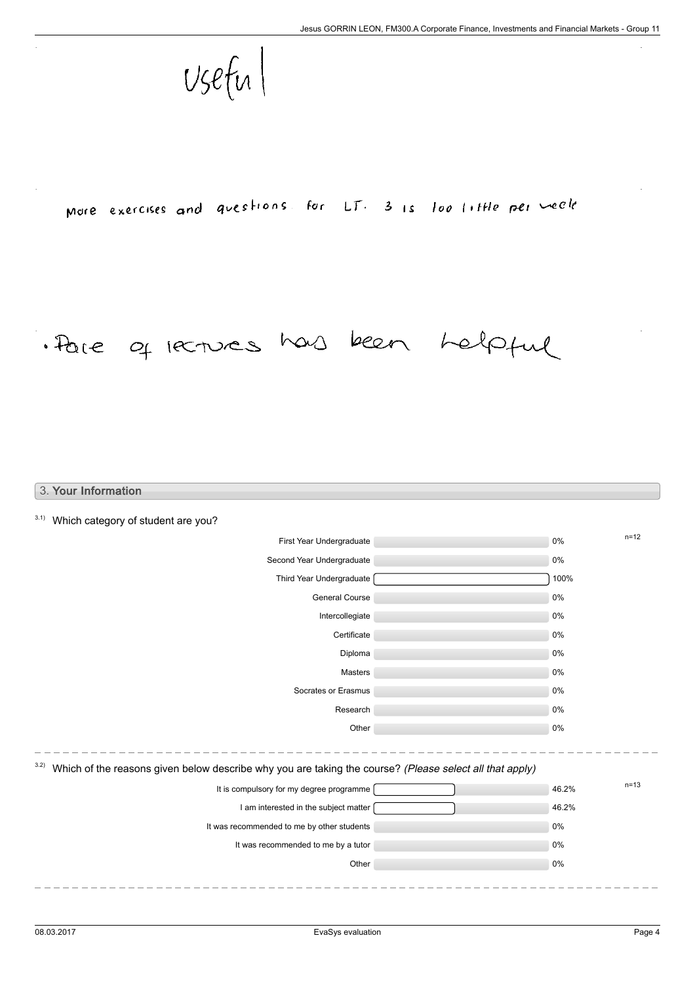$v$ sefu

More exercises and questions for LT. 3 is loo little per week

# · Pare of recruces has been helpful

## 3. Your Information

| 3.1)<br>Which category of student are you?                                                                      |                 |  |  |  |  |  |  |
|-----------------------------------------------------------------------------------------------------------------|-----------------|--|--|--|--|--|--|
| First Year Undergraduate                                                                                        | $n = 12$<br>0%  |  |  |  |  |  |  |
| Second Year Undergraduate                                                                                       | 0%              |  |  |  |  |  |  |
| Third Year Undergraduate                                                                                        | 100%            |  |  |  |  |  |  |
| <b>General Course</b>                                                                                           | 0%              |  |  |  |  |  |  |
| Intercollegiate                                                                                                 | 0%              |  |  |  |  |  |  |
| Certificate                                                                                                     | 0%              |  |  |  |  |  |  |
| Diploma                                                                                                         | 0%              |  |  |  |  |  |  |
| Masters                                                                                                         | 0%              |  |  |  |  |  |  |
| Socrates or Erasmus                                                                                             | 0%              |  |  |  |  |  |  |
| Research                                                                                                        | 0%              |  |  |  |  |  |  |
| Other                                                                                                           | 0%              |  |  |  |  |  |  |
| 3.2)<br>Which of the reasons given below describe why you are taking the course? (Please select all that apply) |                 |  |  |  |  |  |  |
| It is compulsory for my degree programme                                                                        | $n=13$<br>46.2% |  |  |  |  |  |  |
| I am interested in the subject matter                                                                           | 46.2%           |  |  |  |  |  |  |
| It was recommended to me by other students                                                                      | 0%              |  |  |  |  |  |  |
| It was recommended to me by a tutor                                                                             | 0%              |  |  |  |  |  |  |
| Other                                                                                                           | 0%              |  |  |  |  |  |  |
|                                                                                                                 |                 |  |  |  |  |  |  |